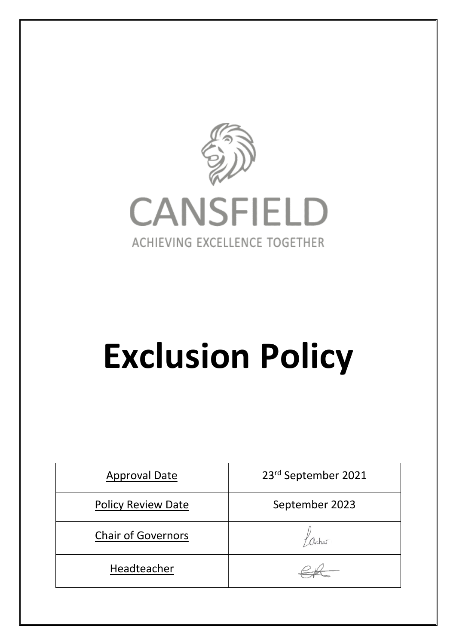



# **Exclusion Policy**

| <b>Approval Date</b>      | 23rd September 2021 |
|---------------------------|---------------------|
| <b>Policy Review Date</b> | September 2023      |
| <b>Chair of Governors</b> |                     |
| Headteacher               |                     |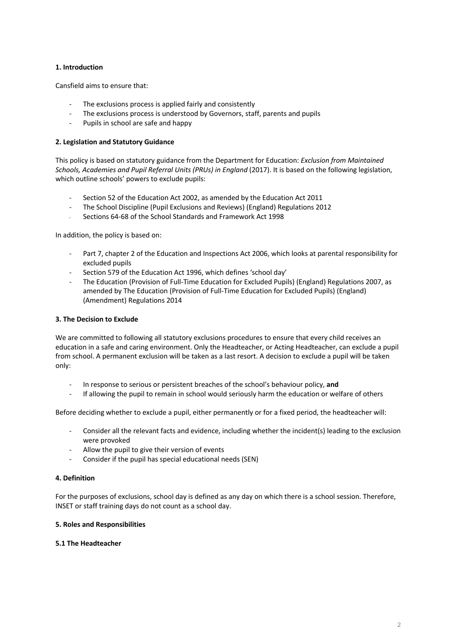## **1. Introduction**

Cansfield aims to ensure that:

- The exclusions process is applied fairly and consistently
- The exclusions process is understood by Governors, staff, parents and pupils
- Pupils in school are safe and happy

### **2. Legislation and Statutory Guidance**

This policy is based on statutory guidance from the Department for Education: *Exclusion from Maintained Schools, Academies and Pupil Referral Units (PRUs) in England* (2017). It is based on the following legislation, which outline schools' powers to exclude pupils:

- Section 52 of the Education Act 2002, as amended by the Education Act 2011
- The School Discipline (Pupil Exclusions and Reviews) (England) Regulations 2012
- Sections 64-68 of the School Standards and Framework Act 1998

In addition, the policy is based on:

- Part 7, chapter 2 of the Education and Inspections Act 2006, which looks at parental responsibility for excluded pupils
- Section 579 of the Education Act 1996, which defines 'school day'
- The Education (Provision of Full-Time Education for Excluded Pupils) (England) Regulations 2007, as amended by The Education (Provision of Full-Time Education for Excluded Pupils) (England) (Amendment) Regulations 2014

### **3. The Decision to Exclude**

We are committed to following all statutory exclusions procedures to ensure that every child receives an education in a safe and caring environment. Only the Headteacher, or Acting Headteacher, can exclude a pupil from school. A permanent exclusion will be taken as a last resort. A decision to exclude a pupil will be taken only:

- In response to serious or persistent breaches of the school's behaviour policy, **and**
- If allowing the pupil to remain in school would seriously harm the education or welfare of others

Before deciding whether to exclude a pupil, either permanently or for a fixed period, the headteacher will:

- Consider all the relevant facts and evidence, including whether the incident(s) leading to the exclusion were provoked
- Allow the pupil to give their version of events
- Consider if the pupil has special educational needs (SEN)

### **4. Definition**

For the purposes of exclusions, school day is defined as any day on which there is a school session. Therefore, INSET or staff training days do not count as a school day.

### **5. Roles and Responsibilities**

### **5.1 The Headteacher**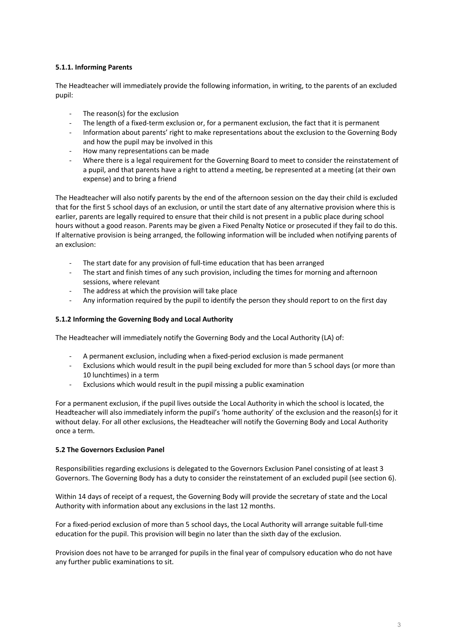# **5.1.1. Informing Parents**

The Headteacher will immediately provide the following information, in writing, to the parents of an excluded pupil:

- The reason(s) for the exclusion
- The length of a fixed-term exclusion or, for a permanent exclusion, the fact that it is permanent
- Information about parents' right to make representations about the exclusion to the Governing Body and how the pupil may be involved in this
- How many representations can be made
- Where there is a legal requirement for the Governing Board to meet to consider the reinstatement of a pupil, and that parents have a right to attend a meeting, be represented at a meeting (at their own expense) and to bring a friend

The Headteacher will also notify parents by the end of the afternoon session on the day their child is excluded that for the first 5 school days of an exclusion, or until the start date of any alternative provision where this is earlier, parents are legally required to ensure that their child is not present in a public place during school hours without a good reason. Parents may be given a Fixed Penalty Notice or prosecuted if they fail to do this. If alternative provision is being arranged, the following information will be included when notifying parents of an exclusion:

- The start date for any provision of full-time education that has been arranged
- The start and finish times of any such provision, including the times for morning and afternoon sessions, where relevant
- The address at which the provision will take place
- Any information required by the pupil to identify the person they should report to on the first day

#### **5.1.2 Informing the Governing Body and Local Authority**

The Headteacher will immediately notify the Governing Body and the Local Authority (LA) of:

- A permanent exclusion, including when a fixed-period exclusion is made permanent
- Exclusions which would result in the pupil being excluded for more than 5 school days (or more than 10 lunchtimes) in a term
- Exclusions which would result in the pupil missing a public examination

For a permanent exclusion, if the pupil lives outside the Local Authority in which the school is located, the Headteacher will also immediately inform the pupil's 'home authority' of the exclusion and the reason(s) for it without delay. For all other exclusions, the Headteacher will notify the Governing Body and Local Authority once a term.

### **5.2 The Governors Exclusion Panel**

Responsibilities regarding exclusions is delegated to the Governors Exclusion Panel consisting of at least 3 Governors. The Governing Body has a duty to consider the reinstatement of an excluded pupil (see section 6).

Within 14 days of receipt of a request, the Governing Body will provide the secretary of state and the Local Authority with information about any exclusions in the last 12 months.

For a fixed-period exclusion of more than 5 school days, the Local Authority will arrange suitable full-time education for the pupil. This provision will begin no later than the sixth day of the exclusion.

Provision does not have to be arranged for pupils in the final year of compulsory education who do not have any further public examinations to sit.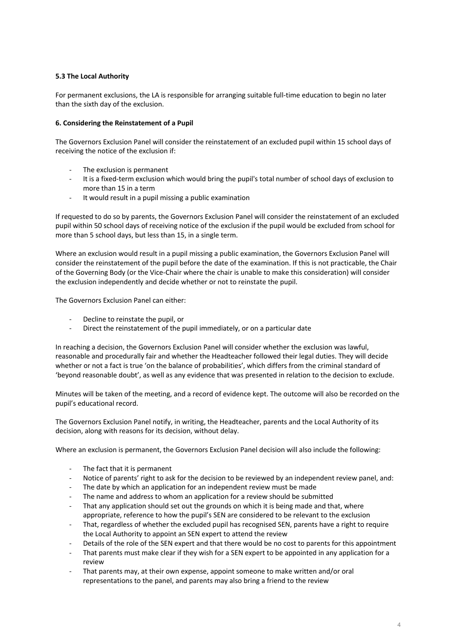# **5.3 The Local Authority**

For permanent exclusions, the LA is responsible for arranging suitable full-time education to begin no later than the sixth day of the exclusion.

## **6. Considering the Reinstatement of a Pupil**

The Governors Exclusion Panel will consider the reinstatement of an excluded pupil within 15 school days of receiving the notice of the exclusion if:

- The exclusion is permanent
- It is a fixed-term exclusion which would bring the pupil's total number of school days of exclusion to more than 15 in a term
- It would result in a pupil missing a public examination

If requested to do so by parents, the Governors Exclusion Panel will consider the reinstatement of an excluded pupil within 50 school days of receiving notice of the exclusion if the pupil would be excluded from school for more than 5 school days, but less than 15, in a single term.

Where an exclusion would result in a pupil missing a public examination, the Governors Exclusion Panel will consider the reinstatement of the pupil before the date of the examination. If this is not practicable, the Chair of the Governing Body (or the Vice-Chair where the chair is unable to make this consideration) will consider the exclusion independently and decide whether or not to reinstate the pupil.

The Governors Exclusion Panel can either:

- Decline to reinstate the pupil, or
- Direct the reinstatement of the pupil immediately, or on a particular date

In reaching a decision, the Governors Exclusion Panel will consider whether the exclusion was lawful, reasonable and procedurally fair and whether the Headteacher followed their legal duties. They will decide whether or not a fact is true 'on the balance of probabilities', which differs from the criminal standard of 'beyond reasonable doubt', as well as any evidence that was presented in relation to the decision to exclude.

Minutes will be taken of the meeting, and a record of evidence kept. The outcome will also be recorded on the pupil's educational record.

The Governors Exclusion Panel notify, in writing, the Headteacher, parents and the Local Authority of its decision, along with reasons for its decision, without delay.

Where an exclusion is permanent, the Governors Exclusion Panel decision will also include the following:

- The fact that it is permanent
- Notice of parents' right to ask for the decision to be reviewed by an independent review panel, and:
- The date by which an application for an independent review must be made
- The name and address to whom an application for a review should be submitted
- That any application should set out the grounds on which it is being made and that, where appropriate, reference to how the pupil's SEN are considered to be relevant to the exclusion
- That, regardless of whether the excluded pupil has recognised SEN, parents have a right to require the Local Authority to appoint an SEN expert to attend the review
- Details of the role of the SEN expert and that there would be no cost to parents for this appointment
- That parents must make clear if they wish for a SEN expert to be appointed in any application for a review
- That parents may, at their own expense, appoint someone to make written and/or oral representations to the panel, and parents may also bring a friend to the review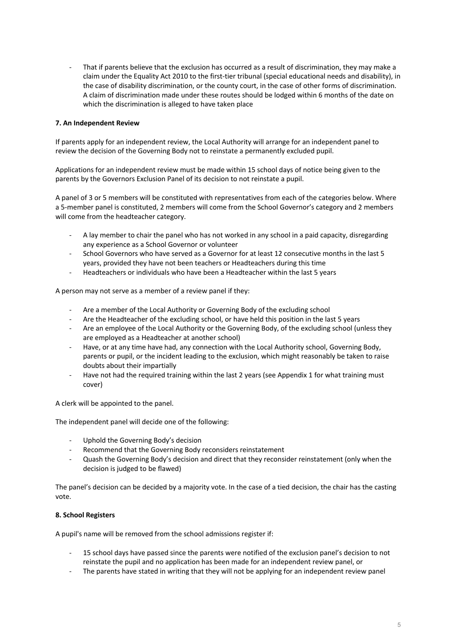That if parents believe that the exclusion has occurred as a result of discrimination, they may make a claim under the Equality Act 2010 to the first-tier tribunal (special educational needs and disability), in the case of disability discrimination, or the county court, in the case of other forms of discrimination. A claim of discrimination made under these routes should be lodged within 6 months of the date on which the discrimination is alleged to have taken place

## **7. An Independent Review**

If parents apply for an independent review, the Local Authority will arrange for an independent panel to review the decision of the Governing Body not to reinstate a permanently excluded pupil.

Applications for an independent review must be made within 15 school days of notice being given to the parents by the Governors Exclusion Panel of its decision to not reinstate a pupil.

A panel of 3 or 5 members will be constituted with representatives from each of the categories below. Where a 5-member panel is constituted, 2 members will come from the School Governor's category and 2 members will come from the headteacher category.

- A lay member to chair the panel who has not worked in any school in a paid capacity, disregarding any experience as a School Governor or volunteer
- School Governors who have served as a Governor for at least 12 consecutive months in the last 5 years, provided they have not been teachers or Headteachers during this time
- Headteachers or individuals who have been a Headteacher within the last 5 years

A person may not serve as a member of a review panel if they:

- Are a member of the Local Authority or Governing Body of the excluding school
- Are the Headteacher of the excluding school, or have held this position in the last 5 years
- Are an employee of the Local Authority or the Governing Body, of the excluding school (unless they are employed as a Headteacher at another school)
- Have, or at any time have had, any connection with the Local Authority school, Governing Body, parents or pupil, or the incident leading to the exclusion, which might reasonably be taken to raise doubts about their impartially
- Have not had the required training within the last 2 years (see Appendix 1 for what training must cover)

A clerk will be appointed to the panel.

The independent panel will decide one of the following:

- Uphold the Governing Body's decision
- Recommend that the Governing Body reconsiders reinstatement
- Quash the Governing Body's decision and direct that they reconsider reinstatement (only when the decision is judged to be flawed)

The panel's decision can be decided by a majority vote. In the case of a tied decision, the chair has the casting vote.

# **8. School Registers**

A pupil's name will be removed from the school admissions register if:

- 15 school days have passed since the parents were notified of the exclusion panel's decision to not reinstate the pupil and no application has been made for an independent review panel, or
- The parents have stated in writing that they will not be applying for an independent review panel